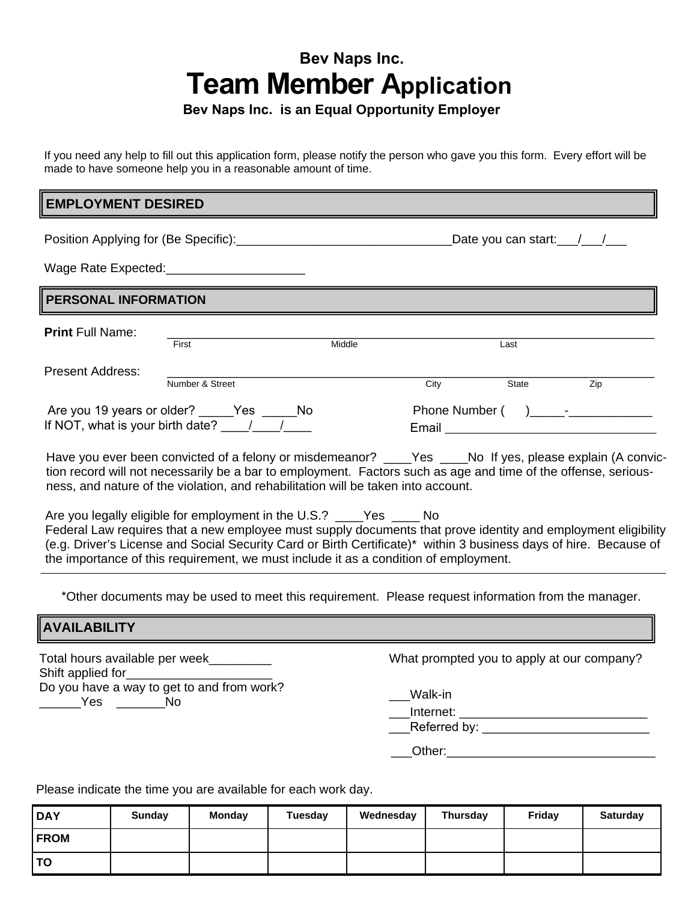# **Bev Naps Inc. Team Member Application**

# **Bev Naps Inc. is an Equal Opportunity Employer**

If you need any help to fill out this application form, please notify the person who gave you this form. Every effort will be made to have someone help you in a reasonable amount of time.

## **EMPLOYMENT DESIRED**

Position Applying for (Be Specific): example and the Date you can start:  $\frac{1}{2}$ 

Wage Rate Expected:

### **PERSONAL INFORMATION**

|                                       | First           | Middle |                | Last  |     |  |
|---------------------------------------|-----------------|--------|----------------|-------|-----|--|
| Present Address:                      |                 |        |                |       |     |  |
|                                       | Number & Street |        | City           | State | Zip |  |
| Are you 19 years or older? Yes<br>No. |                 |        | Phone Number ( |       |     |  |
| If NOT, what is your birth date?      |                 |        | Email          |       |     |  |

Have you ever been convicted of a felony or misdemeanor? \_\_\_\_Yes \_\_\_\_No If yes, please explain (A conviction record will not necessarily be a bar to employment. Factors such as age and time of the offense, seriousness, and nature of the violation, and rehabilitation will be taken into account.

Are you legally eligible for employment in the U.S.? \_\_\_\_Yes \_\_\_\_ No Federal Law requires that a new employee must supply documents that prove identity and employment eligibility (e.g. Driver's License and Social Security Card or Birth Certificate)\* within 3 business days of hire. Because of the importance of this requirement, we must include it as a condition of employment.

\*Other documents may be used to meet this requirement. Please request information from the manager.

### **AVAILABILITY**

Total hours available per week\_\_\_\_\_\_\_\_\_ Shift applied for Do you have a way to get to and from work? \_\_\_\_\_\_Yes \_\_\_\_\_\_\_No

What prompted you to apply at our company?

\_\_\_Walk-in

\_Internet: \_\_\_\_\_\_\_\_\_\_\_\_\_\_\_\_\_\_\_\_\_\_\_\_\_\_\_\_\_\_\_\_\_\_\_

\_\_\_Referred by: \_\_\_\_\_\_\_\_\_\_\_\_\_\_\_\_\_\_\_\_\_\_\_\_

Other:

Please indicate the time you are available for each work day.

| <b>DAY</b>  | Sunday | Monday | Tuesday | Wednesday | <b>Thursday</b> | Friday | <b>Saturday</b> |
|-------------|--------|--------|---------|-----------|-----------------|--------|-----------------|
| <b>FROM</b> |        |        |         |           |                 |        |                 |
| l TO        |        |        |         |           |                 |        |                 |